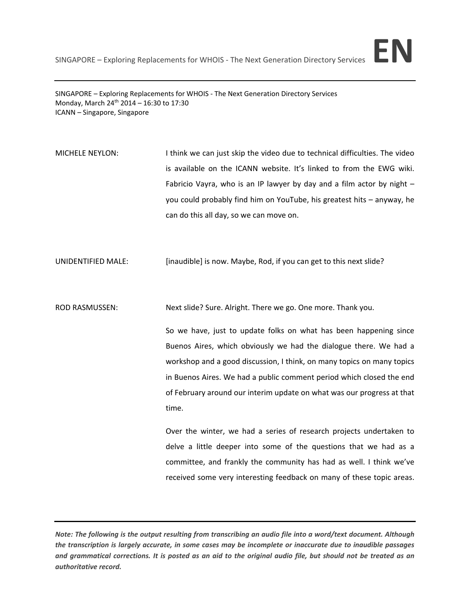

SINGAPORE – Exploring Replacements for WHOIS ‐ The Next Generation Directory Services Monday, March 24th 2014 – 16:30 to 17:30 ICANN – Singapore, Singapore

MICHELE NEYLON: I think we can just skip the video due to technical difficulties. The video is available on the ICANN website. It's linked to from the EWG wiki. Fabricio Vayra, who is an IP lawyer by day and a film actor by night  $$ you could probably find him on YouTube, his greatest hits – anyway, he can do this all day, so we can move on.

UNIDENTIFIED MALE: [inaudible] is now. Maybe, Rod, if you can get to this next slide?

ROD RASMUSSEN: Next slide? Sure. Alright. There we go. One more. Thank you.

So we have, just to update folks on what has been happening since Buenos Aires, which obviously we had the dialogue there. We had a workshop and a good discussion, I think, on many topics on many topics in Buenos Aires. We had a public comment period which closed the end of February around our interim update on what was our progress at that time.

Over the winter, we had a series of research projects undertaken to delve a little deeper into some of the questions that we had as a committee, and frankly the community has had as well. I think we've received some very interesting feedback on many of these topic areas.

Note: The following is the output resulting from transcribing an audio file into a word/text document. Although the transcription is largely accurate, in some cases may be incomplete or inaccurate due to inaudible passages and grammatical corrections. It is posted as an aid to the original audio file, but should not be treated as an *authoritative record.*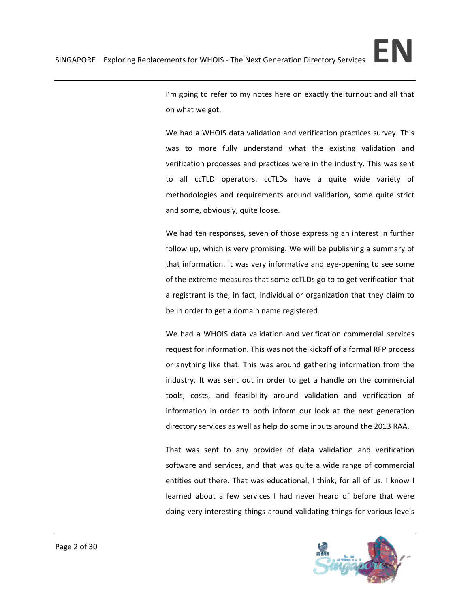I'm going to refer to my notes here on exactly the turnout and all that on what we got.

We had a WHOIS data validation and verification practices survey. This was to more fully understand what the existing validation and verification processes and practices were in the industry. This was sent to all ccTLD operators. ccTLDs have a quite wide variety of methodologies and requirements around validation, some quite strict and some, obviously, quite loose.

We had ten responses, seven of those expressing an interest in further follow up, which is very promising. We will be publishing a summary of that information. It was very informative and eye‐opening to see some of the extreme measures that some ccTLDs go to to get verification that a registrant is the, in fact, individual or organization that they claim to be in order to get a domain name registered.

We had a WHOIS data validation and verification commercial services request for information. This was not the kickoff of a formal RFP process or anything like that. This was around gathering information from the industry. It was sent out in order to get a handle on the commercial tools, costs, and feasibility around validation and verification of information in order to both inform our look at the next generation directory services as well as help do some inputs around the 2013 RAA.

That was sent to any provider of data validation and verification software and services, and that was quite a wide range of commercial entities out there. That was educational, I think, for all of us. I know I learned about a few services I had never heard of before that were doing very interesting things around validating things for various levels

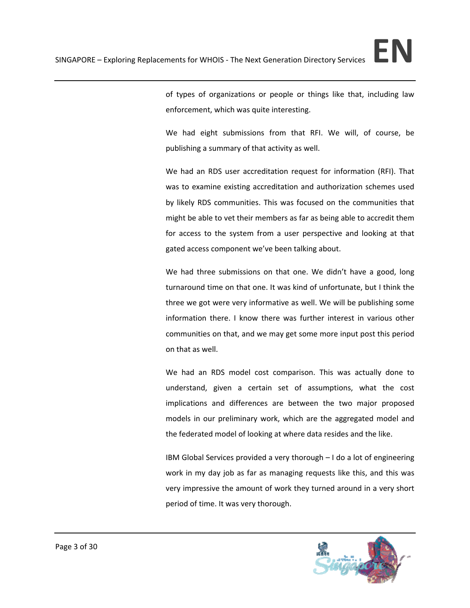

of types of organizations or people or things like that, including law enforcement, which was quite interesting.

We had eight submissions from that RFI. We will, of course, be publishing a summary of that activity as well.

We had an RDS user accreditation request for information (RFI). That was to examine existing accreditation and authorization schemes used by likely RDS communities. This was focused on the communities that might be able to vet their members as far as being able to accredit them for access to the system from a user perspective and looking at that gated access component we've been talking about.

We had three submissions on that one. We didn't have a good, long turnaround time on that one. It was kind of unfortunate, but I think the three we got were very informative as well. We will be publishing some information there. I know there was further interest in various other communities on that, and we may get some more input post this period on that as well.

We had an RDS model cost comparison. This was actually done to understand, given a certain set of assumptions, what the cost implications and differences are between the two major proposed models in our preliminary work, which are the aggregated model and the federated model of looking at where data resides and the like.

IBM Global Services provided a very thorough – I do a lot of engineering work in my day job as far as managing requests like this, and this was very impressive the amount of work they turned around in a very short period of time. It was very thorough.

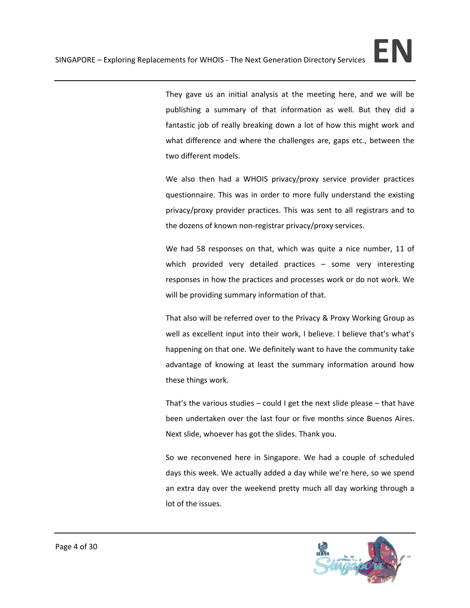They gave us an initial analysis at the meeting here, and we will be publishing a summary of that information as well. But they did a fantastic job of really breaking down a lot of how this might work and what difference and where the challenges are, gaps etc., between the two different models.

We also then had a WHOIS privacy/proxy service provider practices questionnaire. This was in order to more fully understand the existing privacy/proxy provider practices. This was sent to all registrars and to the dozens of known non‐registrar privacy/proxy services.

We had 58 responses on that, which was quite a nice number, 11 of which provided very detailed practices – some very interesting responses in how the practices and processes work or do not work. We will be providing summary information of that.

That also will be referred over to the Privacy & Proxy Working Group as well as excellent input into their work, I believe. I believe that's what's happening on that one. We definitely want to have the community take advantage of knowing at least the summary information around how these things work.

That's the various studies – could I get the next slide please – that have been undertaken over the last four or five months since Buenos Aires. Next slide, whoever has got the slides. Thank you.

So we reconvened here in Singapore. We had a couple of scheduled days this week. We actually added a day while we're here, so we spend an extra day over the weekend pretty much all day working through a lot of the issues.

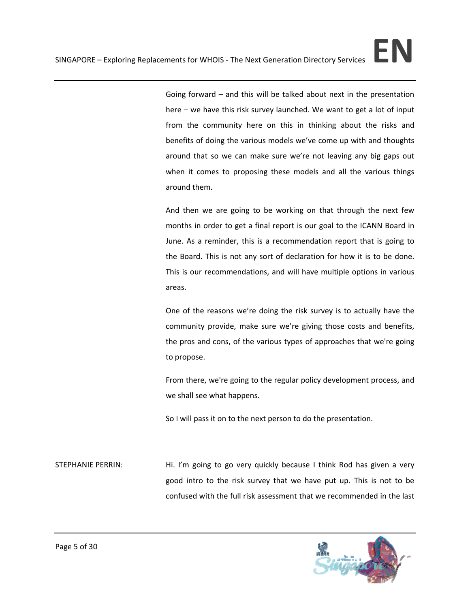Going forward – and this will be talked about next in the presentation here – we have this risk survey launched. We want to get a lot of input from the community here on this in thinking about the risks and benefits of doing the various models we've come up with and thoughts around that so we can make sure we're not leaving any big gaps out when it comes to proposing these models and all the various things around them.

And then we are going to be working on that through the next few months in order to get a final report is our goal to the ICANN Board in June. As a reminder, this is a recommendation report that is going to the Board. This is not any sort of declaration for how it is to be done. This is our recommendations, and will have multiple options in various areas.

One of the reasons we're doing the risk survey is to actually have the community provide, make sure we're giving those costs and benefits, the pros and cons, of the various types of approaches that we're going to propose.

From there, we're going to the regular policy development process, and we shall see what happens.

So I will pass it on to the next person to do the presentation.

STEPHANIE PERRIN: Hi. I'm going to go very quickly because I think Rod has given a very good intro to the risk survey that we have put up. This is not to be confused with the full risk assessment that we recommended in the last

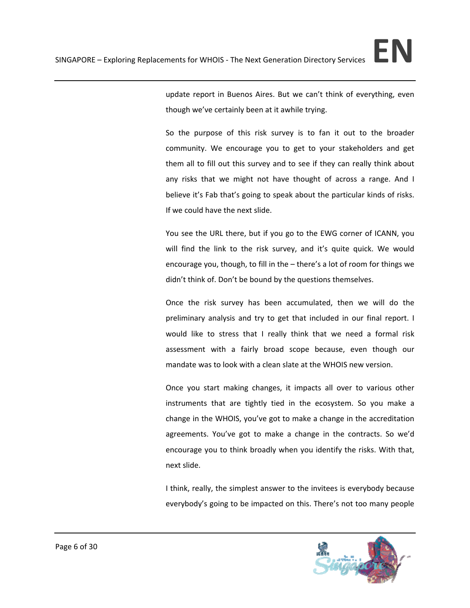update report in Buenos Aires. But we can't think of everything, even though we've certainly been at it awhile trying.

So the purpose of this risk survey is to fan it out to the broader community. We encourage you to get to your stakeholders and get them all to fill out this survey and to see if they can really think about any risks that we might not have thought of across a range. And I believe it's Fab that's going to speak about the particular kinds of risks. If we could have the next slide.

You see the URL there, but if you go to the EWG corner of ICANN, you will find the link to the risk survey, and it's quite quick. We would encourage you, though, to fill in the – there's a lot of room for things we didn't think of. Don't be bound by the questions themselves.

Once the risk survey has been accumulated, then we will do the preliminary analysis and try to get that included in our final report. I would like to stress that I really think that we need a formal risk assessment with a fairly broad scope because, even though our mandate was to look with a clean slate at the WHOIS new version.

Once you start making changes, it impacts all over to various other instruments that are tightly tied in the ecosystem. So you make a change in the WHOIS, you've got to make a change in the accreditation agreements. You've got to make a change in the contracts. So we'd encourage you to think broadly when you identify the risks. With that, next slide.

I think, really, the simplest answer to the invitees is everybody because everybody's going to be impacted on this. There's not too many people

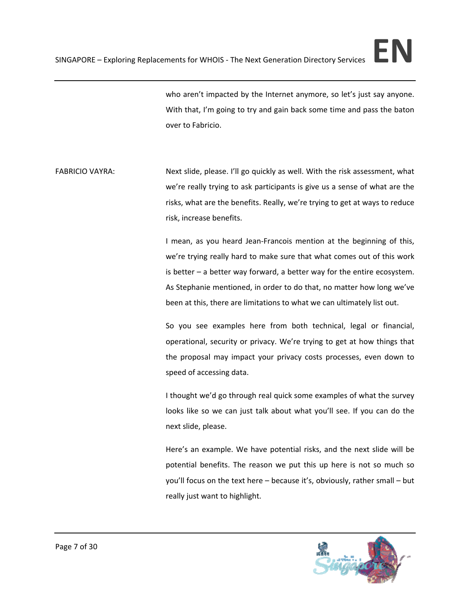who aren't impacted by the Internet anymore, so let's just say anyone. With that, I'm going to try and gain back some time and pass the baton over to Fabricio.

FABRICIO VAYRA: Next slide, please. I'll go quickly as well. With the risk assessment, what we're really trying to ask participants is give us a sense of what are the risks, what are the benefits. Really, we're trying to get at ways to reduce risk, increase benefits.

> I mean, as you heard Jean‐Francois mention at the beginning of this, we're trying really hard to make sure that what comes out of this work is better – a better way forward, a better way for the entire ecosystem. As Stephanie mentioned, in order to do that, no matter how long we've been at this, there are limitations to what we can ultimately list out.

> So you see examples here from both technical, legal or financial, operational, security or privacy. We're trying to get at how things that the proposal may impact your privacy costs processes, even down to speed of accessing data.

> I thought we'd go through real quick some examples of what the survey looks like so we can just talk about what you'll see. If you can do the next slide, please.

> Here's an example. We have potential risks, and the next slide will be potential benefits. The reason we put this up here is not so much so you'll focus on the text here – because it's, obviously, rather small – but really just want to highlight.

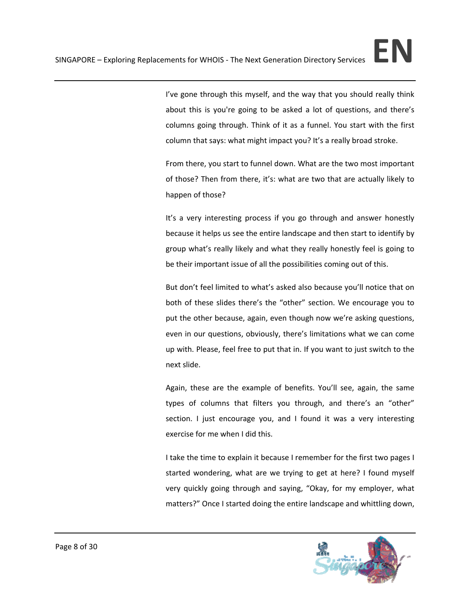I've gone through this myself, and the way that you should really think about this is you're going to be asked a lot of questions, and there's columns going through. Think of it as a funnel. You start with the first column that says: what might impact you? It's a really broad stroke.

From there, you start to funnel down. What are the two most important of those? Then from there, it's: what are two that are actually likely to happen of those?

It's a very interesting process if you go through and answer honestly because it helps us see the entire landscape and then start to identify by group what's really likely and what they really honestly feel is going to be their important issue of all the possibilities coming out of this.

But don't feel limited to what's asked also because you'll notice that on both of these slides there's the "other" section. We encourage you to put the other because, again, even though now we're asking questions, even in our questions, obviously, there's limitations what we can come up with. Please, feel free to put that in. If you want to just switch to the next slide.

Again, these are the example of benefits. You'll see, again, the same types of columns that filters you through, and there's an "other" section. I just encourage you, and I found it was a very interesting exercise for me when I did this.

I take the time to explain it because I remember for the first two pages I started wondering, what are we trying to get at here? I found myself very quickly going through and saying, "Okay, for my employer, what matters?" Once I started doing the entire landscape and whittling down,

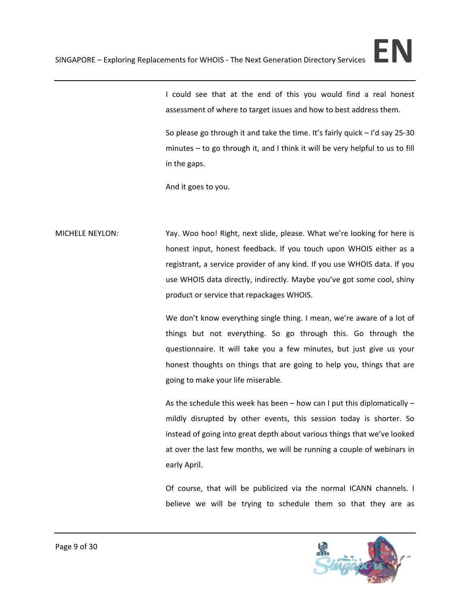I could see that at the end of this you would find a real honest assessment of where to target issues and how to best address them.

So please go through it and take the time. It's fairly quick – I'd say 25‐30 minutes – to go through it, and I think it will be very helpful to us to fill in the gaps.

And it goes to you.

MICHELE NEYLON: Yay. Woo hoo! Right, next slide, please. What we're looking for here is honest input, honest feedback. If you touch upon WHOIS either as a registrant, a service provider of any kind. If you use WHOIS data. If you use WHOIS data directly, indirectly. Maybe you've got some cool, shiny product or service that repackages WHOIS.

> We don't know everything single thing. I mean, we're aware of a lot of things but not everything. So go through this. Go through the questionnaire. It will take you a few minutes, but just give us your honest thoughts on things that are going to help you, things that are going to make your life miserable.

> As the schedule this week has been – how can I put this diplomatically – mildly disrupted by other events, this session today is shorter. So instead of going into great depth about various things that we've looked at over the last few months, we will be running a couple of webinars in early April.

> Of course, that will be publicized via the normal ICANN channels. I believe we will be trying to schedule them so that they are as

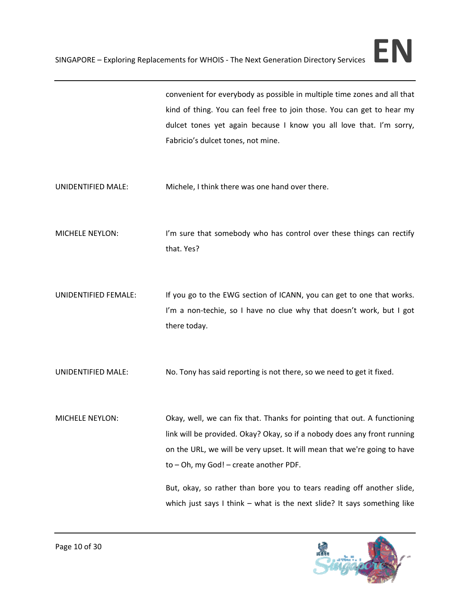

convenient for everybody as possible in multiple time zones and all that kind of thing. You can feel free to join those. You can get to hear my dulcet tones yet again because I know you all love that. I'm sorry, Fabricio's dulcet tones, not mine.

UNIDENTIFIED MALE: Michele, I think there was one hand over there.

MICHELE NEYLON: I'm sure that somebody who has control over these things can rectify that. Yes?

UNIDENTIFIED FEMALE: If you go to the EWG section of ICANN, you can get to one that works. I'm a non-techie, so I have no clue why that doesn't work, but I got there today.

UNIDENTIFIED MALE: No. Tony has said reporting is not there, so we need to get it fixed.

MICHELE NEYLON: Okay, well, we can fix that. Thanks for pointing that out. A functioning link will be provided. Okay? Okay, so if a nobody does any front running on the URL, we will be very upset. It will mean that we're going to have to – Oh, my God! – create another PDF.

> But, okay, so rather than bore you to tears reading off another slide, which just says I think – what is the next slide? It says something like

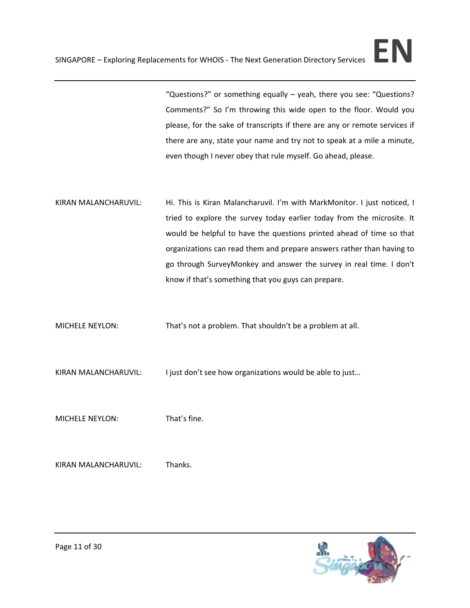"Questions?" or something equally – yeah, there you see: "Questions? Comments?" So I'm throwing this wide open to the floor. Would you please, for the sake of transcripts if there are any or remote services if there are any, state your name and try not to speak at a mile a minute, even though I never obey that rule myself. Go ahead, please.

KIRAN MALANCHARUVIL: Hi. This is Kiran Malancharuvil. I'm with MarkMonitor. I just noticed, I tried to explore the survey today earlier today from the microsite. It would be helpful to have the questions printed ahead of time so that organizations can read them and prepare answers rather than having to go through SurveyMonkey and answer the survey in real time. I don't know if that's something that you guys can prepare.

MICHELE NEYLON: That's not a problem. That shouldn't be a problem at all.

KIRAN MALANCHARUVIL: I just don't see how organizations would be able to just...

MICHELE NEYLON: That's fine.

KIRAN MALANCHARUVIL: Thanks.

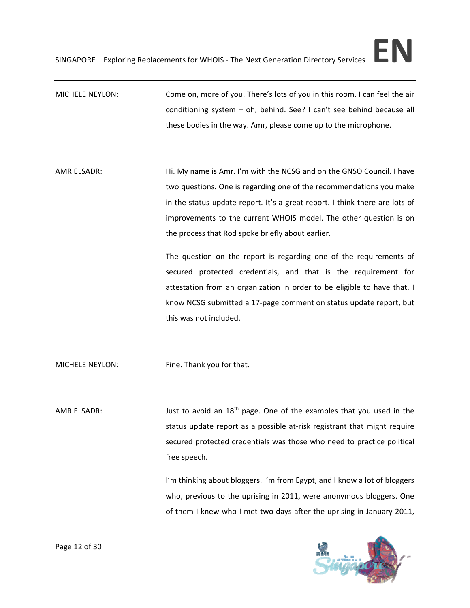MICHELE NEYLON: Come on, more of you. There's lots of you in this room. I can feel the air conditioning system – oh, behind. See? I can't see behind because all these bodies in the way. Amr, please come up to the microphone.

AMR ELSADR: Hi. My name is Amr. I'm with the NCSG and on the GNSO Council. I have two questions. One is regarding one of the recommendations you make in the status update report. It's a great report. I think there are lots of improvements to the current WHOIS model. The other question is on the process that Rod spoke briefly about earlier.

> The question on the report is regarding one of the requirements of secured protected credentials, and that is the requirement for attestation from an organization in order to be eligible to have that. I know NCSG submitted a 17‐page comment on status update report, but this was not included.

MICHELE NEYLON: Fine. Thank you for that.

AMR ELSADR: Just to avoid an  $18<sup>th</sup>$  page. One of the examples that you used in the status update report as a possible at-risk registrant that might require secured protected credentials was those who need to practice political free speech.

> I'm thinking about bloggers. I'm from Egypt, and I know a lot of bloggers who, previous to the uprising in 2011, were anonymous bloggers. One of them I knew who I met two days after the uprising in January 2011,

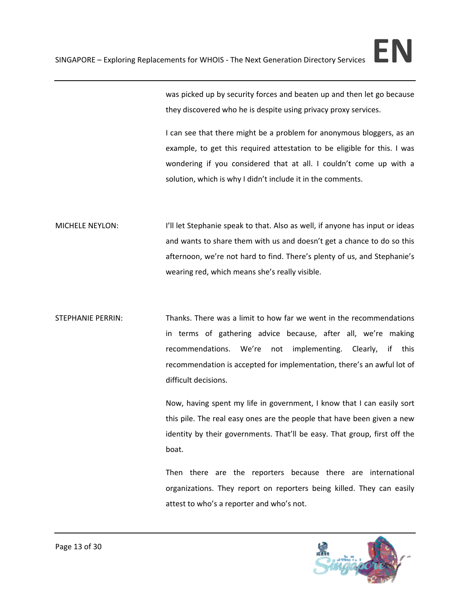was picked up by security forces and beaten up and then let go because they discovered who he is despite using privacy proxy services.

I can see that there might be a problem for anonymous bloggers, as an example, to get this required attestation to be eligible for this. I was wondering if you considered that at all. I couldn't come up with a solution, which is why I didn't include it in the comments.

- MICHELE NEYLON: I'll let Stephanie speak to that. Also as well, if anyone has input or ideas and wants to share them with us and doesn't get a chance to do so this afternoon, we're not hard to find. There's plenty of us, and Stephanie's wearing red, which means she's really visible.
- STEPHANIE PERRIN: Thanks. There was a limit to how far we went in the recommendations in terms of gathering advice because, after all, we're making recommendations. We're not implementing. Clearly, if this recommendation is accepted for implementation, there's an awful lot of difficult decisions.

Now, having spent my life in government, I know that I can easily sort this pile. The real easy ones are the people that have been given a new identity by their governments. That'll be easy. That group, first off the boat.

Then there are the reporters because there are international organizations. They report on reporters being killed. They can easily attest to who's a reporter and who's not.

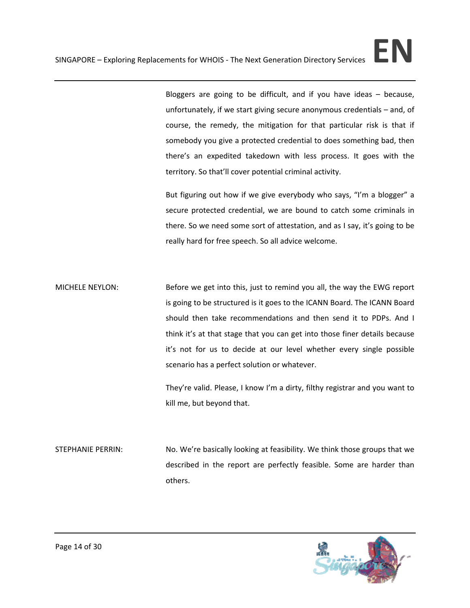Bloggers are going to be difficult, and if you have ideas – because, unfortunately, if we start giving secure anonymous credentials – and, of course, the remedy, the mitigation for that particular risk is that if somebody you give a protected credential to does something bad, then there's an expedited takedown with less process. It goes with the territory. So that'll cover potential criminal activity.

But figuring out how if we give everybody who says, "I'm a blogger" a secure protected credential, we are bound to catch some criminals in there. So we need some sort of attestation, and as I say, it's going to be really hard for free speech. So all advice welcome.

MICHELE NEYLON: Before we get into this, just to remind you all, the way the EWG report is going to be structured is it goes to the ICANN Board. The ICANN Board should then take recommendations and then send it to PDPs. And I think it's at that stage that you can get into those finer details because it's not for us to decide at our level whether every single possible scenario has a perfect solution or whatever.

> They're valid. Please, I know I'm a dirty, filthy registrar and you want to kill me, but beyond that.

STEPHANIE PERRIN: No. We're basically looking at feasibility. We think those groups that we described in the report are perfectly feasible. Some are harder than others.

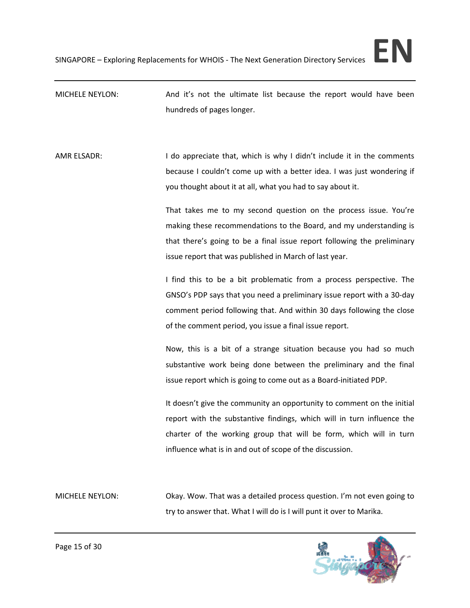MICHELE NEYLON: And it's not the ultimate list because the report would have been hundreds of pages longer.

AMR ELSADR: I do appreciate that, which is why I didn't include it in the comments because I couldn't come up with a better idea. I was just wondering if you thought about it at all, what you had to say about it.

> That takes me to my second question on the process issue. You're making these recommendations to the Board, and my understanding is that there's going to be a final issue report following the preliminary issue report that was published in March of last year.

> I find this to be a bit problematic from a process perspective. The GNSO's PDP says that you need a preliminary issue report with a 30‐day comment period following that. And within 30 days following the close of the comment period, you issue a final issue report.

> Now, this is a bit of a strange situation because you had so much substantive work being done between the preliminary and the final issue report which is going to come out as a Board‐initiated PDP.

> It doesn't give the community an opportunity to comment on the initial report with the substantive findings, which will in turn influence the charter of the working group that will be form, which will in turn influence what is in and out of scope of the discussion.

MICHELE NEYLON: Okay. Wow. That was a detailed process question. I'm not even going to try to answer that. What I will do is I will punt it over to Marika.

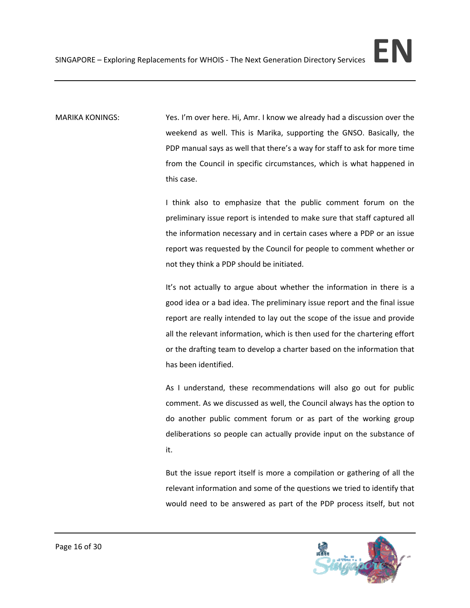MARIKA KONINGS: Yes. I'm over here. Hi, Amr. I know we already had a discussion over the weekend as well. This is Marika, supporting the GNSO. Basically, the PDP manual says as well that there's a way for staff to ask for more time from the Council in specific circumstances, which is what happened in this case.

> I think also to emphasize that the public comment forum on the preliminary issue report is intended to make sure that staff captured all the information necessary and in certain cases where a PDP or an issue report was requested by the Council for people to comment whether or not they think a PDP should be initiated.

> It's not actually to argue about whether the information in there is a good idea or a bad idea. The preliminary issue report and the final issue report are really intended to lay out the scope of the issue and provide all the relevant information, which is then used for the chartering effort or the drafting team to develop a charter based on the information that has been identified.

> As I understand, these recommendations will also go out for public comment. As we discussed as well, the Council always has the option to do another public comment forum or as part of the working group deliberations so people can actually provide input on the substance of it.

> But the issue report itself is more a compilation or gathering of all the relevant information and some of the questions we tried to identify that would need to be answered as part of the PDP process itself, but not

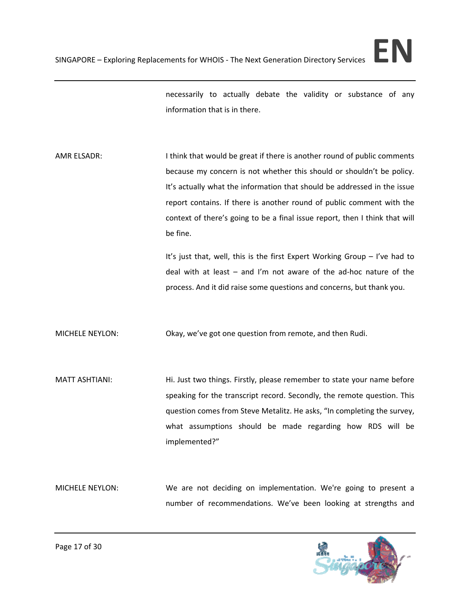necessarily to actually debate the validity or substance of any information that is in there.

AMR ELSADR: I think that would be great if there is another round of public comments because my concern is not whether this should or shouldn't be policy. It's actually what the information that should be addressed in the issue report contains. If there is another round of public comment with the context of there's going to be a final issue report, then I think that will be fine.

> It's just that, well, this is the first Expert Working Group – I've had to deal with at least  $-$  and I'm not aware of the ad-hoc nature of the process. And it did raise some questions and concerns, but thank you.

MICHELE NEYLON: Okay, we've got one question from remote, and then Rudi.

MATT ASHTIANI: Hi. Just two things. Firstly, please remember to state your name before speaking for the transcript record. Secondly, the remote question. This question comes from Steve Metalitz. He asks, "In completing the survey, what assumptions should be made regarding how RDS will be implemented?"

MICHELE NEYLON: We are not deciding on implementation. We're going to present a number of recommendations. We've been looking at strengths and

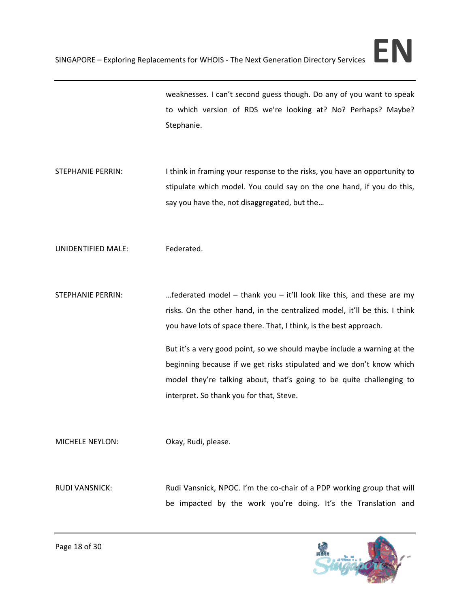

weaknesses. I can't second guess though. Do any of you want to speak to which version of RDS we're looking at? No? Perhaps? Maybe? Stephanie.

STEPHANIE PERRIN: I think in framing your response to the risks, you have an opportunity to stipulate which model. You could say on the one hand, if you do this, say you have the, not disaggregated, but the…

UNIDENTIFIED MALE: Federated.

STEPHANIE PERRIN: …federated model – thank you – it'll look like this, and these are my risks. On the other hand, in the centralized model, it'll be this. I think you have lots of space there. That, I think, is the best approach.

> But it's a very good point, so we should maybe include a warning at the beginning because if we get risks stipulated and we don't know which model they're talking about, that's going to be quite challenging to interpret. So thank you for that, Steve.

MICHELE NEYLON: Okay, Rudi, please.

RUDI VANSNICK: Rudi Vansnick, NPOC. I'm the co-chair of a PDP working group that will be impacted by the work you're doing. It's the Translation and

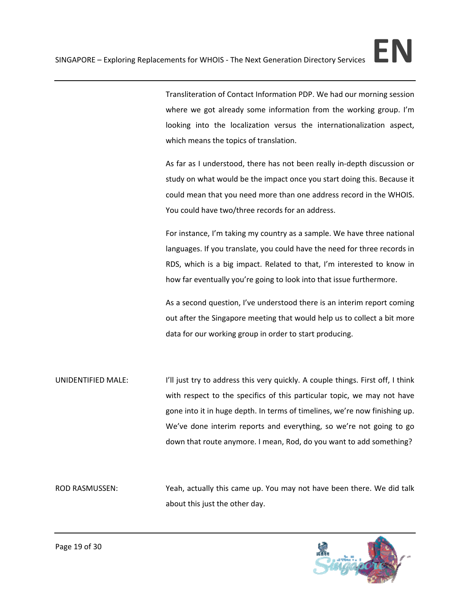Transliteration of Contact Information PDP. We had our morning session where we got already some information from the working group. I'm looking into the localization versus the internationalization aspect, which means the topics of translation.

As far as I understood, there has not been really in‐depth discussion or study on what would be the impact once you start doing this. Because it could mean that you need more than one address record in the WHOIS. You could have two/three records for an address.

For instance, I'm taking my country as a sample. We have three national languages. If you translate, you could have the need for three records in RDS, which is a big impact. Related to that, I'm interested to know in how far eventually you're going to look into that issue furthermore.

As a second question, I've understood there is an interim report coming out after the Singapore meeting that would help us to collect a bit more data for our working group in order to start producing.

UNIDENTIFIED MALE: I'll just try to address this very quickly. A couple things. First off, I think with respect to the specifics of this particular topic, we may not have gone into it in huge depth. In terms of timelines, we're now finishing up. We've done interim reports and everything, so we're not going to go down that route anymore. I mean, Rod, do you want to add something?

ROD RASMUSSEN: Yeah, actually this came up. You may not have been there. We did talk about this just the other day.

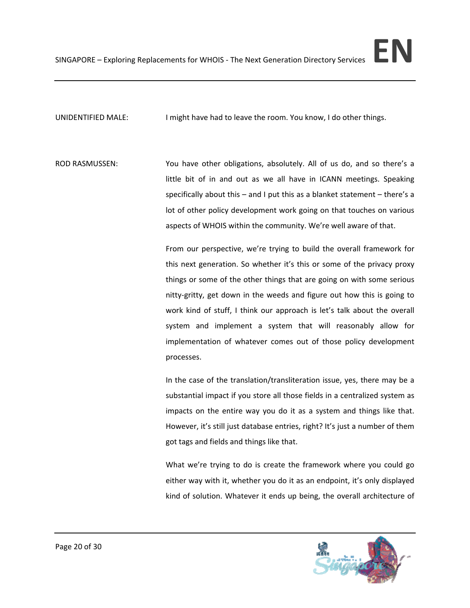UNIDENTIFIED MALE: I might have had to leave the room. You know, I do other things.

ROD RASMUSSEN: You have other obligations, absolutely. All of us do, and so there's a little bit of in and out as we all have in ICANN meetings. Speaking specifically about this – and I put this as a blanket statement – there's a lot of other policy development work going on that touches on various aspects of WHOIS within the community. We're well aware of that.

> From our perspective, we're trying to build the overall framework for this next generation. So whether it's this or some of the privacy proxy things or some of the other things that are going on with some serious nitty‐gritty, get down in the weeds and figure out how this is going to work kind of stuff, I think our approach is let's talk about the overall system and implement a system that will reasonably allow for implementation of whatever comes out of those policy development processes.

> In the case of the translation/transliteration issue, yes, there may be a substantial impact if you store all those fields in a centralized system as impacts on the entire way you do it as a system and things like that. However, it's still just database entries, right? It's just a number of them got tags and fields and things like that.

> What we're trying to do is create the framework where you could go either way with it, whether you do it as an endpoint, it's only displayed kind of solution. Whatever it ends up being, the overall architecture of

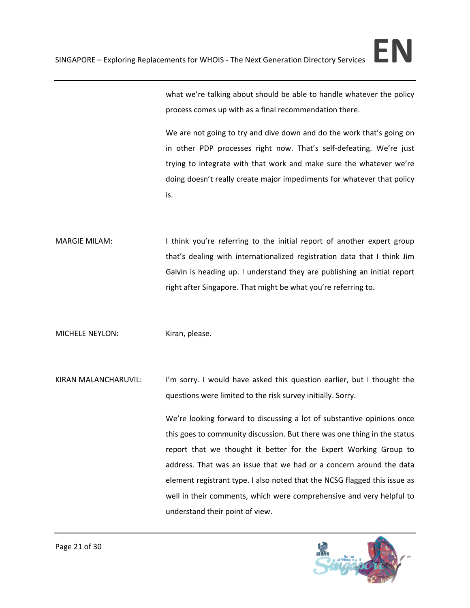what we're talking about should be able to handle whatever the policy process comes up with as a final recommendation there.

We are not going to try and dive down and do the work that's going on in other PDP processes right now. That's self-defeating. We're just trying to integrate with that work and make sure the whatever we're doing doesn't really create major impediments for whatever that policy is.

MARGIE MILAM: I think you're referring to the initial report of another expert group that's dealing with internationalized registration data that I think Jim Galvin is heading up. I understand they are publishing an initial report right after Singapore. That might be what you're referring to.

MICHELE NEYLON: Kiran, please.

KIRAN MALANCHARUVIL: I'm sorry. I would have asked this question earlier, but I thought the questions were limited to the risk survey initially. Sorry.

> We're looking forward to discussing a lot of substantive opinions once this goes to community discussion. But there was one thing in the status report that we thought it better for the Expert Working Group to address. That was an issue that we had or a concern around the data element registrant type. I also noted that the NCSG flagged this issue as well in their comments, which were comprehensive and very helpful to understand their point of view.

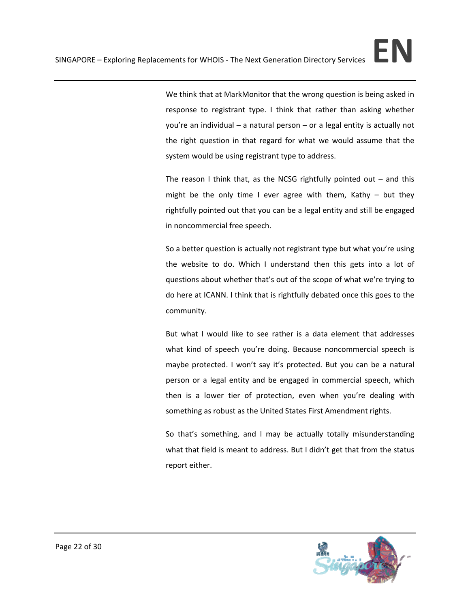We think that at MarkMonitor that the wrong question is being asked in response to registrant type. I think that rather than asking whether you're an individual – a natural person – or a legal entity is actually not the right question in that regard for what we would assume that the system would be using registrant type to address.

The reason I think that, as the NCSG rightfully pointed out  $-$  and this might be the only time I ever agree with them, Kathy  $-$  but they rightfully pointed out that you can be a legal entity and still be engaged in noncommercial free speech.

So a better question is actually not registrant type but what you're using the website to do. Which I understand then this gets into a lot of questions about whether that's out of the scope of what we're trying to do here at ICANN. I think that is rightfully debated once this goes to the community.

But what I would like to see rather is a data element that addresses what kind of speech you're doing. Because noncommercial speech is maybe protected. I won't say it's protected. But you can be a natural person or a legal entity and be engaged in commercial speech, which then is a lower tier of protection, even when you're dealing with something as robust as the United States First Amendment rights.

So that's something, and I may be actually totally misunderstanding what that field is meant to address. But I didn't get that from the status report either.

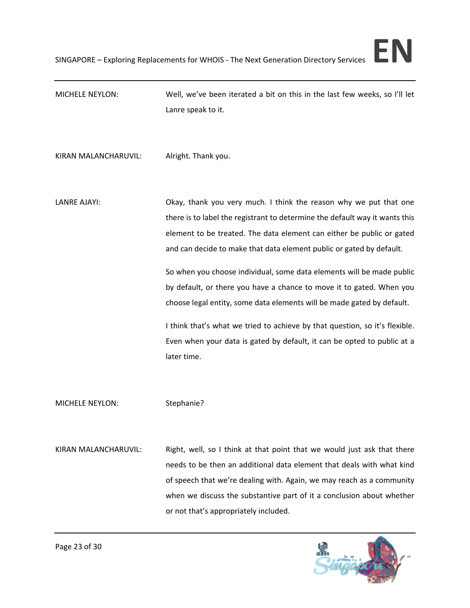

MICHELE NEYLON: Well, we've been iterated a bit on this in the last few weeks, so I'll let Lanre speak to it.

KIRAN MALANCHARUVIL: Alright. Thank you.

LANRE AJAYI: Okay, thank you very much. I think the reason why we put that one there is to label the registrant to determine the default way it wants this element to be treated. The data element can either be public or gated and can decide to make that data element public or gated by default.

> So when you choose individual, some data elements will be made public by default, or there you have a chance to move it to gated. When you choose legal entity, some data elements will be made gated by default.

> I think that's what we tried to achieve by that question, so it's flexible. Even when your data is gated by default, it can be opted to public at a later time.

MICHELE NEYLON: Stephanie?

KIRAN MALANCHARUVIL: Right, well, so I think at that point that we would just ask that there needs to be then an additional data element that deals with what kind of speech that we're dealing with. Again, we may reach as a community when we discuss the substantive part of it a conclusion about whether or not that's appropriately included.

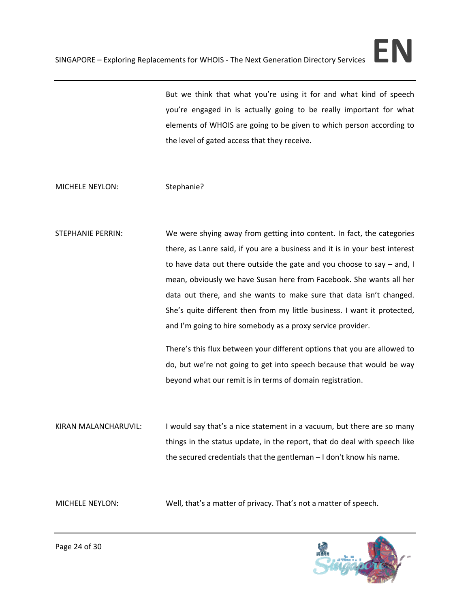But we think that what you're using it for and what kind of speech you're engaged in is actually going to be really important for what elements of WHOIS are going to be given to which person according to the level of gated access that they receive.

MICHELE NEYLON: Stephanie?

STEPHANIE PERRIN: We were shying away from getting into content. In fact, the categories there, as Lanre said, if you are a business and it is in your best interest to have data out there outside the gate and you choose to say – and, I mean, obviously we have Susan here from Facebook. She wants all her data out there, and she wants to make sure that data isn't changed. She's quite different then from my little business. I want it protected, and I'm going to hire somebody as a proxy service provider.

> There's this flux between your different options that you are allowed to do, but we're not going to get into speech because that would be way beyond what our remit is in terms of domain registration.

KIRAN MALANCHARUVIL: I would say that's a nice statement in a vacuum, but there are so many things in the status update, in the report, that do deal with speech like the secured credentials that the gentleman – I don't know his name.

MICHELE NEYLON: Well, that's a matter of privacy. That's not a matter of speech.

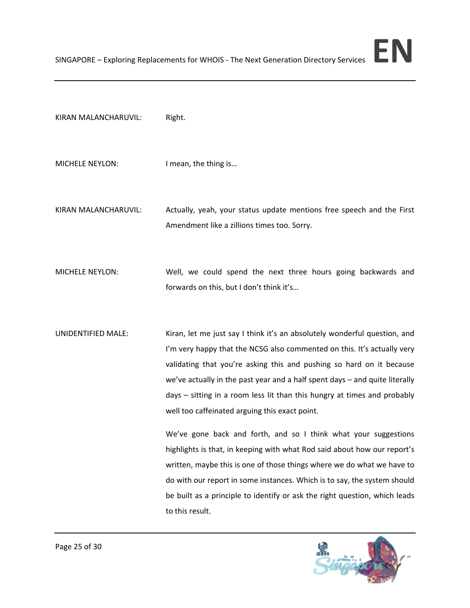## KIRAN MALANCHARUVIL: Right.

- MICHELE NEYLON: I mean, the thing is...
- KIRAN MALANCHARUVIL: Actually, yeah, your status update mentions free speech and the First Amendment like a zillions times too. Sorry.
- MICHELE NEYLON: Well, we could spend the next three hours going backwards and forwards on this, but I don't think it's…
- UNIDENTIFIED MALE: Kiran, let me just say I think it's an absolutely wonderful question, and I'm very happy that the NCSG also commented on this. It's actually very validating that you're asking this and pushing so hard on it because we've actually in the past year and a half spent days – and quite literally days – sitting in a room less lit than this hungry at times and probably well too caffeinated arguing this exact point.

We've gone back and forth, and so I think what your suggestions highlights is that, in keeping with what Rod said about how our report's written, maybe this is one of those things where we do what we have to do with our report in some instances. Which is to say, the system should be built as a principle to identify or ask the right question, which leads to this result.

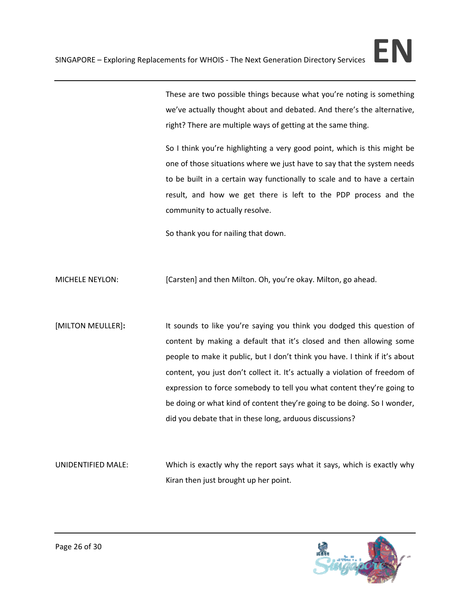These are two possible things because what you're noting is something we've actually thought about and debated. And there's the alternative, right? There are multiple ways of getting at the same thing.

So I think you're highlighting a very good point, which is this might be one of those situations where we just have to say that the system needs to be built in a certain way functionally to scale and to have a certain result, and how we get there is left to the PDP process and the community to actually resolve.

So thank you for nailing that down.

MICHELE NEYLON: [Carsten] and then Milton. Oh, you're okay. Milton, go ahead.

[MILTON MEULLER]**:** It sounds to like you're saying you think you dodged this question of content by making a default that it's closed and then allowing some people to make it public, but I don't think you have. I think if it's about content, you just don't collect it. It's actually a violation of freedom of expression to force somebody to tell you what content they're going to be doing or what kind of content they're going to be doing. So I wonder, did you debate that in these long, arduous discussions?

UNIDENTIFIED MALE: Which is exactly why the report says what it says, which is exactly why Kiran then just brought up her point.

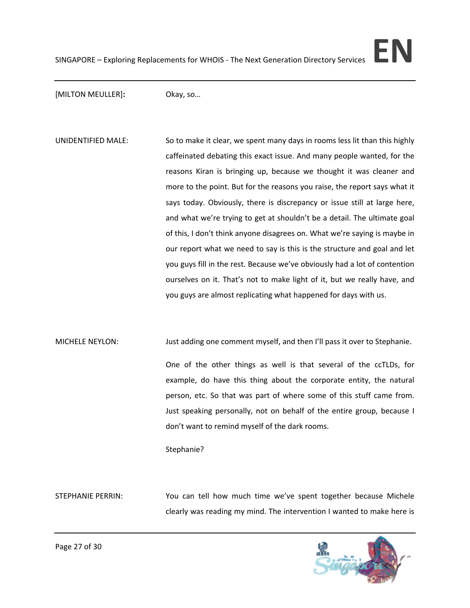[MILTON MEULLER]**:** Okay, so…

UNIDENTIFIED MALE: So to make it clear, we spent many days in rooms less lit than this highly caffeinated debating this exact issue. And many people wanted, for the reasons Kiran is bringing up, because we thought it was cleaner and more to the point. But for the reasons you raise, the report says what it says today. Obviously, there is discrepancy or issue still at large here, and what we're trying to get at shouldn't be a detail. The ultimate goal of this, I don't think anyone disagrees on. What we're saying is maybe in our report what we need to say is this is the structure and goal and let you guys fill in the rest. Because we've obviously had a lot of contention ourselves on it. That's not to make light of it, but we really have, and you guys are almost replicating what happened for days with us.

MICHELE NEYLON: Just adding one comment myself, and then I'll pass it over to Stephanie.

One of the other things as well is that several of the ccTLDs, for example, do have this thing about the corporate entity, the natural person, etc. So that was part of where some of this stuff came from. Just speaking personally, not on behalf of the entire group, because I don't want to remind myself of the dark rooms.

Stephanie?

STEPHANIE PERRIN: You can tell how much time we've spent together because Michele clearly was reading my mind. The intervention I wanted to make here is

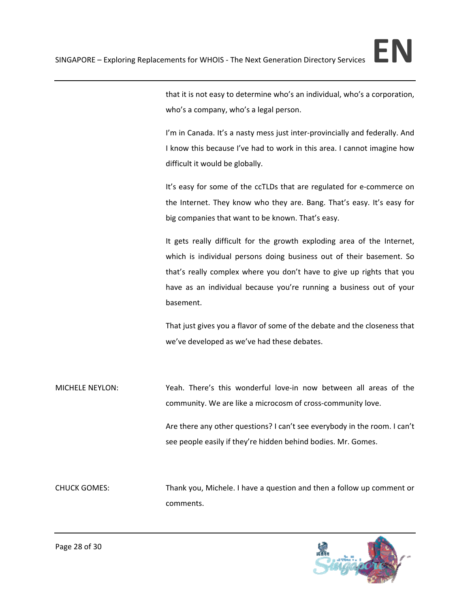that it is not easy to determine who's an individual, who's a corporation, who's a company, who's a legal person.

I'm in Canada. It's a nasty mess just inter-provincially and federally. And I know this because I've had to work in this area. I cannot imagine how difficult it would be globally.

It's easy for some of the ccTLDs that are regulated for e-commerce on the Internet. They know who they are. Bang. That's easy. It's easy for big companies that want to be known. That's easy.

It gets really difficult for the growth exploding area of the Internet, which is individual persons doing business out of their basement. So that's really complex where you don't have to give up rights that you have as an individual because you're running a business out of your basement.

That just gives you a flavor of some of the debate and the closeness that we've developed as we've had these debates.

MICHELE NEYLON: Yeah. There's this wonderful love‐in now between all areas of the community. We are like a microcosm of cross‐community love.

> Are there any other questions? I can't see everybody in the room. I can't see people easily if they're hidden behind bodies. Mr. Gomes.

CHUCK GOMES: Thank you, Michele. I have a question and then a follow up comment or comments.

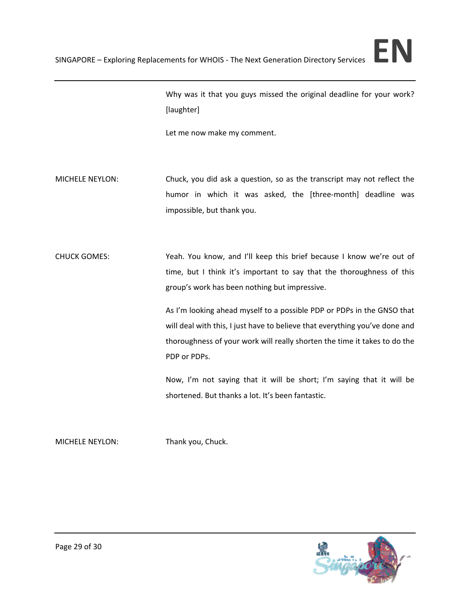

Why was it that you guys missed the original deadline for your work? [laughter]

Let me now make my comment.

MICHELE NEYLON: Chuck, you did ask a question, so as the transcript may not reflect the humor in which it was asked, the [three-month] deadline was impossible, but thank you.

CHUCK GOMES: Yeah. You know, and I'll keep this brief because I know we're out of time, but I think it's important to say that the thoroughness of this group's work has been nothing but impressive.

> As I'm looking ahead myself to a possible PDP or PDPs in the GNSO that will deal with this, I just have to believe that everything you've done and thoroughness of your work will really shorten the time it takes to do the PDP or PDPs.

> Now, I'm not saying that it will be short; I'm saying that it will be shortened. But thanks a lot. It's been fantastic.

MICHELE NEYLON: Thank you, Chuck.